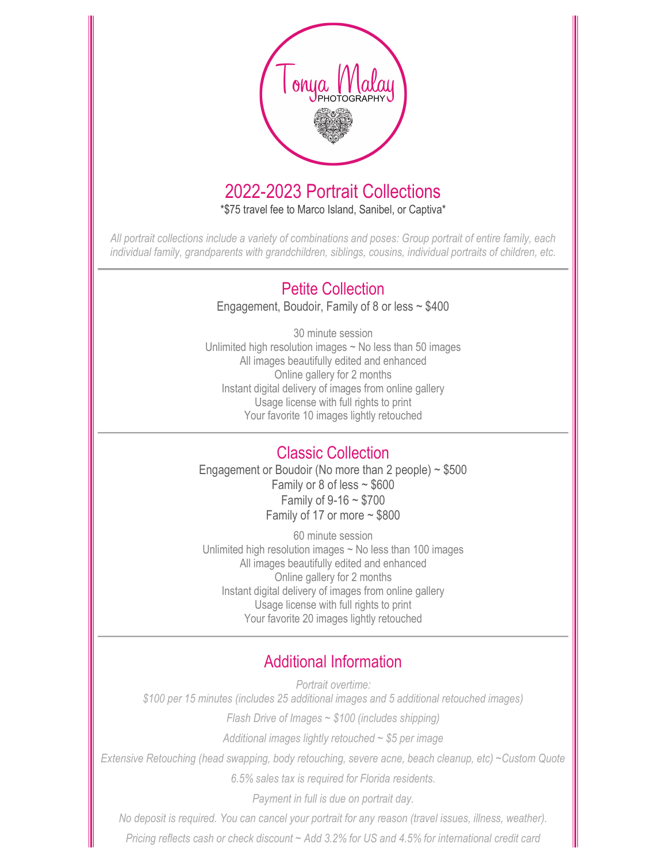

# 2022-2023 Portrait Collections

\*\$75 travel fee to Marco Island, Sanibel, or Captiva\*

All portrait collections include a variety of combinations and poses: Group portrait of entire family, each individual family, grandparents with grandchildren, siblings, cousins, individual portraits of children, etc.

### Petite Collection

Engagement, Boudoir, Family of 8 or less  $\sim$  \$400

30 minute session Unlimited high resolution images  $\sim$  No less than 50 images All images beautifully edited and enhanced Online gallery for 2 months Instant digital delivery of images from online gallery Usage license with full rights to print Your favorite 10 images lightly retouched

#### Classic Collection

Engagement or Boudoir (No more than 2 people)  $\sim$  \$500 Family or 8 of less  $\sim$  \$600 Family of 9-16 ~ \$700 Family of 17 or more  $\sim$  \$800

60 minute session Unlimited high resolution images ~ No less than 100 images All images beautifully edited and enhanced Online gallery for 2 months Instant digital delivery of images from online gallery Usage license with full rights to print Your favorite 20 images lightly retouched

## Additional Information

Portrait overtime: \$100 per 15 minutes (includes 25 additional images and 5 additional retouched images)

Flash Drive of Images  $\sim$  \$100 (includes shipping)

Additional images lightly retouched  $\sim$  \$5 per image

Extensive Retouching (head swapping, body retouching, severe acne, beach cleanup, etc) ~Custom Quote

6.5% sales tax is required for Florida residents.

Payment in full is due on portrait day.

No deposit is required. You can cancel your portrait for any reason (travel issues, illness, weather).

Pricing reflects cash or check discount ~ Add 3.2% for US and 4.5% for international credit card